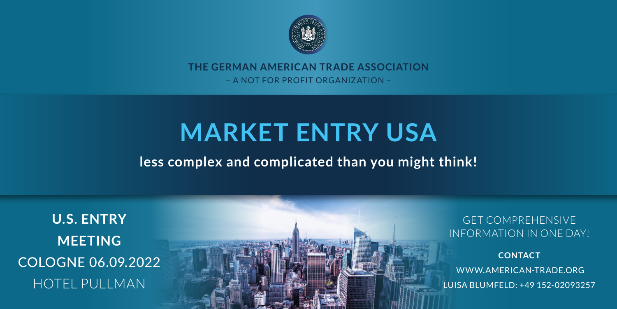

# **the german american trade association** – A not for profit organization –

# **market entry USA**

# **less complex and complicated than you might think!**

**U.S. Entry Meeting**  Cologne 06.09.2022 Hotel Pullman

Get comprehensive information in one day!

**Contact**  www.american-trade.org Luisa Blumfeld: +49 152-02093257